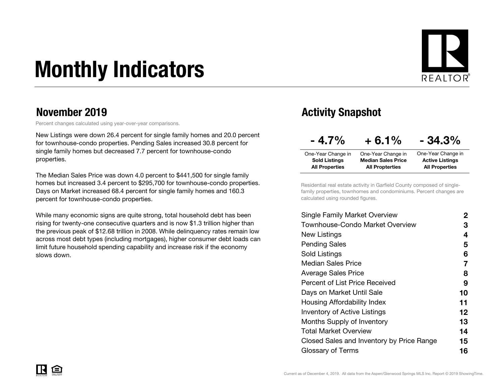# Monthly Indicators



### November 2019

Percent changes calculated using year-over-year comparisons.

New Listings were down 26.4 percent for single family homes and 20.0 percent for townhouse-condo properties. Pending Sales increased 30.8 percent for single family homes but decreased 7.7 percent for townhouse-condo properties.

The Median Sales Price was down 4.0 percent to \$441,500 for single family homes but increased 3.4 percent to \$295,700 for townhouse-condo properties. Days on Market increased 68.4 percent for single family homes and 160.3 percent for townhouse-condo properties.

While many economic signs are quite strong, total household debt has been rising for twenty-one consecutive quarters and is now \$1.3 trillion higher than the previous peak of \$12.68 trillion in 2008. While delinquency rates remain low across most debt types (including mortgages), higher consumer debt loads can limit future household spending capability and increase risk if the economy slows down.

### Activity Snapshot

| $-4.7\%$              | $+6.1%$                   | $-34.3\%$              |
|-----------------------|---------------------------|------------------------|
| One-Year Change in    | One-Year Change in        | One-Year Change in     |
| <b>Sold Listings</b>  | <b>Median Sales Price</b> | <b>Active Listings</b> |
| <b>All Properties</b> | <b>All Propterties</b>    | <b>All Properties</b>  |

Residential real estate activity in Garfield County composed of singlefamily properties, townhomes and condominiums. Percent changes are calculated using rounded figures.

| <b>Single Family Market Overview</b>      | 2                 |
|-------------------------------------------|-------------------|
| Townhouse-Condo Market Overview           | З                 |
| New Listings                              | 4                 |
| <b>Pending Sales</b>                      | 5                 |
| Sold Listings                             | 6                 |
| <b>Median Sales Price</b>                 | 7                 |
| <b>Average Sales Price</b>                | 8                 |
| Percent of List Price Received            | 9                 |
| Days on Market Until Sale                 | 10                |
| Housing Affordability Index               | 11                |
| <b>Inventory of Active Listings</b>       | $12 \overline{ }$ |
| Months Supply of Inventory                | 13                |
| Total Market Overview                     | 14                |
| Closed Sales and Inventory by Price Range | 15                |
| Glossary of Terms                         | 16                |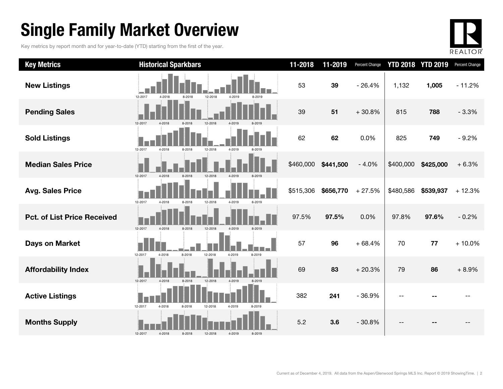### Single Family Market Overview

Key metrics by report month and for year-to-date (YTD) starting from the first of the year.



| <b>Key Metrics</b>                 | <b>Historical Sparkbars</b>                                | 11-2018   | 11-2019   | Percent Change |           | <b>YTD 2018 YTD 2019</b> | Percent Change |
|------------------------------------|------------------------------------------------------------|-----------|-----------|----------------|-----------|--------------------------|----------------|
| <b>New Listings</b>                | 12-2017<br>12-2018<br>4-2018<br>8-2018<br>4-2019<br>8-2019 | 53        | 39        | $-26.4%$       | 1,132     | 1,005                    | $-11.2%$       |
| <b>Pending Sales</b>               | 12-2017<br>12-2018<br>4-2018<br>8-2018<br>4-2019           | 39        | 51        | $+30.8%$       | 815       | 788                      | $-3.3%$        |
| <b>Sold Listings</b>               | 12-2017<br>4-2018<br>8-2018<br>12-2018<br>4-2019           | 62        | 62        | 0.0%           | 825       | 749                      | $-9.2%$        |
| <b>Median Sales Price</b>          | 12-2017<br>8-2018<br>12-2018<br>4-2019<br>$4 - 2018$       | \$460,000 | \$441,500 | $-4.0%$        | \$400,000 | \$425,000                | $+6.3%$        |
| <b>Avg. Sales Price</b>            | 12-2017<br>8-2018<br>12-2018<br>4-2019<br>4-2018<br>8-2019 | \$515,306 | \$656,770 | $+27.5%$       | \$480,586 | \$539,937                | $+12.3%$       |
| <b>Pct. of List Price Received</b> | 12-2017<br>8-2018<br>12-2018<br>4-2019<br>4-2018<br>8-2019 | 97.5%     | 97.5%     | 0.0%           | 97.8%     | 97.6%                    | $-0.2%$        |
| <b>Days on Market</b>              | 12-2018<br>4-2019<br>12-2017<br>4-2018<br>8-2018<br>8-2019 | 57        | 96        | $+68.4%$       | 70        | 77                       | $+10.0%$       |
| <b>Affordability Index</b>         | 12-2017<br>4-2019<br>4-2018<br>8-2018<br>12-2018<br>8-2019 | 69        | 83        | $+20.3%$       | 79        | 86                       | $+8.9%$        |
| <b>Active Listings</b>             | 12-2017<br>4-2018<br>8-2018<br>12-2018<br>4-2019<br>8-2019 | 382       | 241       | $-36.9%$       |           |                          |                |
| <b>Months Supply</b>               | 12-2017<br>4-2018<br>4-2019<br>8-2019<br>8-2018<br>12-2018 | 5.2       | 3.6       | $-30.8%$       |           |                          |                |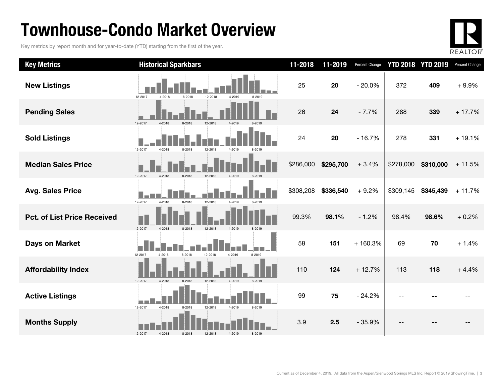### Townhouse-Condo Market Overview

Key metrics by report month and for year-to-date (YTD) starting from the first of the year.



| <b>Key Metrics</b>                 | <b>Historical Sparkbars</b>                                                | 11-2018   | 11-2019   | <b>Percent Change</b> |           | <b>YTD 2018 YTD 2019</b> | Percent Change |
|------------------------------------|----------------------------------------------------------------------------|-----------|-----------|-----------------------|-----------|--------------------------|----------------|
| <b>New Listings</b>                | 12-2018<br>12-2017<br>4-2018<br>8-2018<br>4-2019<br>8-2019                 | 25        | 20        | $-20.0%$              | 372       | 409                      | $+9.9%$        |
| <b>Pending Sales</b>               | 12-2017<br>4-2018                                                          | 26        | 24        | $-7.7%$               | 288       | 339                      | $+17.7%$       |
| <b>Sold Listings</b>               | 12-2017<br>4-2018<br>12-2018<br>8-2018<br>4-2019                           | 24        | 20        | $-16.7%$              | 278       | 331                      | $+19.1%$       |
| <b>Median Sales Price</b>          | 12-2017<br>4-2018<br>8-2018<br>12-2018<br>4-2019                           | \$286,000 | \$295,700 | $+3.4%$               | \$278,000 | \$310,000                | $+11.5%$       |
| <b>Avg. Sales Price</b>            | 12-2017<br>4-2018<br>8-2018<br>12-2018<br>4-2019<br>8-2019                 | \$308,208 | \$336,540 | $+9.2%$               | \$309,145 | \$345,439                | $+11.7%$       |
| <b>Pct. of List Price Received</b> | 12-2017<br>4-2018<br>8-2018<br>12-2018<br>4-2019                           | 99.3%     | 98.1%     | $-1.2%$               | 98.4%     | 98.6%                    | $+0.2%$        |
| Days on Market                     | 12-2017<br>8-2018<br>12-2018<br>4-2019<br>8-2019<br>4-2018                 | 58        | 151       | $+160.3%$             | 69        | 70                       | $+1.4%$        |
| <b>Affordability Index</b>         | 4-2019<br>12-2017<br>4-2018<br>8-2018<br>12-2018<br>8-2019                 | 110       | 124       | $+12.7%$              | 113       | 118                      | $+4.4%$        |
| <b>Active Listings</b>             | i matematika<br>12-2017<br>4-2018<br>4-2019<br>8-2018<br>12-2018<br>8-2019 | 99        | 75        | $-24.2%$              | $-$       |                          |                |
| <b>Months Supply</b>               | 12-2017<br>4-2018<br>4-2019<br>8-2019<br>8-2018<br>12-2018                 | 3.9       | 2.5       | $-35.9%$              |           |                          |                |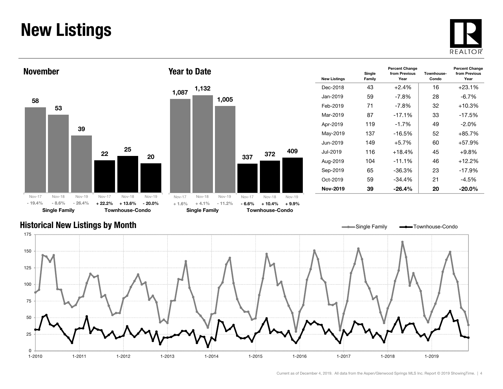### New Listings







| <b>New Listings</b> | Single<br>Family | <b>Percent Change</b><br>from Previous<br>Year | Townhouse-<br>Condo | <b>Percent Change</b><br>from Previous<br>Year |
|---------------------|------------------|------------------------------------------------|---------------------|------------------------------------------------|
| Dec-2018            | 43               | $+2.4%$                                        | 16                  | $+23.1%$                                       |
| Jan-2019            | 59               | -7.8%                                          | 28                  | $-6.7\%$                                       |
| Feb-2019            | 71               | -7.8%                                          | 32                  | $+10.3%$                                       |
| Mar-2019            | 87               | $-17.1%$                                       | 33                  | $-17.5%$                                       |
| Apr-2019            | 119              | $-1.7%$                                        | 49                  | $-2.0\%$                                       |
| May-2019            | 137              | $-16.5%$                                       | 52                  | $+85.7%$                                       |
| Jun-2019            | 149              | $+5.7\%$                                       | 60                  | $+57.9%$                                       |
| Jul-2019.           | 116              | $+18.4%$                                       | 45                  | $+9.8%$                                        |
| Aug-2019            | 104              | $-11.1%$                                       | 46                  | $+12.2%$                                       |
| Sep-2019            | 65               | -36.3%                                         | 23                  | -17.9%                                         |
| $Oct-2019$          | 59               | $-34.4%$                                       | 21                  | $-4.5%$                                        |
| Nov-2019            | 39               | $-26.4%$                                       | 20                  | $-20.0\%$                                      |

#### Historical New Listings by Month

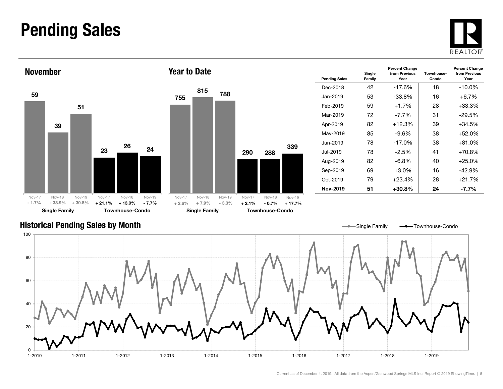### Pending Sales







| <b>Pending Sales</b> | Single<br>Family | <b>Percent Change</b><br>from Previous<br>Year | Townhouse-<br>Condo | <b>Percent Change</b><br>from Previous<br>Year |
|----------------------|------------------|------------------------------------------------|---------------------|------------------------------------------------|
| Dec-2018             | 42               | $-17.6\%$                                      | 18                  | $-10.0\%$                                      |
| Jan-2019             | 53               | $-33.8%$                                       | 16                  | $+6.7%$                                        |
| Feb-2019             | 59               | $+1.7\%$                                       | 28                  | $+33.3%$                                       |
| Mar-2019             | 72               | -7.7%                                          | 31                  | $-29.5%$                                       |
| Apr-2019             | 82               | $+12.3%$                                       | 39                  | $+34.5%$                                       |
| May-2019             | 85               | -9.6%                                          | 38                  | $+52.0%$                                       |
| Jun-2019             | 78               | $-17.0\%$                                      | 38                  | $+81.0%$                                       |
| Jul-2019             | 78               | $-2.5%$                                        | 41                  | $+70.8%$                                       |
| Aug-2019             | 82               | $-6.8\%$                                       | 40                  | $+25.0%$                                       |
| Sep-2019             | 69               | $+3.0\%$                                       | 16                  | -42.9%                                         |
| Oct-2019             | 79               | $+23.4%$                                       | 28                  | $+21.7%$                                       |
| Nov-2019             | 51               | +30.8%                                         | 24                  | -7.7%                                          |

Single Family **-** Townhouse-Condo

#### Historical Pending Sales by Month

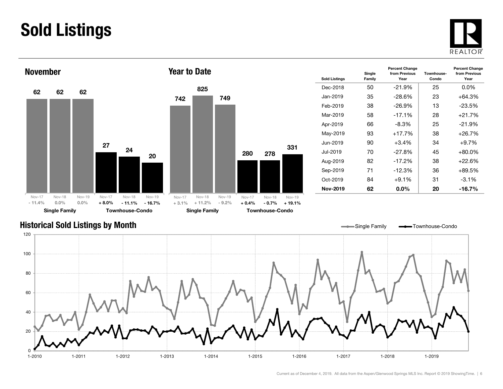### Sold Listings





| <b>Sold Listings</b> | Single<br>Family | <b>Percent Change</b><br>from Previous<br>Year | Townhouse-<br>Condo | <b>Percent Change</b><br>from Previous<br>Year |
|----------------------|------------------|------------------------------------------------|---------------------|------------------------------------------------|
| Dec-2018             | 50               | $-21.9\%$                                      | 25                  | $0.0\%$                                        |
| Jan-2019             | 35               | $-28.6%$                                       | 23                  | $+64.3%$                                       |
| Feb-2019             | 38               | $-26.9\%$                                      | 13                  | $-23.5%$                                       |
| Mar-2019             | 58               | $-17.1%$                                       | 28                  | $+21.7%$                                       |
| Apr-2019             | 66               | $-8.3\%$                                       | 25                  | $-21.9%$                                       |
| May-2019             | 93               | $+17.7\%$                                      | 38                  | $+26.7%$                                       |
| Jun-2019             | 90               | $+3.4\%$                                       | 34                  | $+9.7\%$                                       |
| Jul-2019.            | 70               | $-27.8%$                                       | 45                  | $+80.0\%$                                      |
| Aug-2019             | 82               | $-17.2\%$                                      | 38                  | $+22.6\%$                                      |
| Sep-2019             | 71               | $-12.3%$                                       | 36                  | $+89.5%$                                       |
| Oct-2019             | 84               | $+9.1%$                                        | 31                  | $-3.1\%$                                       |
| Nov-2019             | 62               | $0.0\%$                                        | 20                  | $-16.7\%$                                      |

#### Historical Sold Listings by Month



331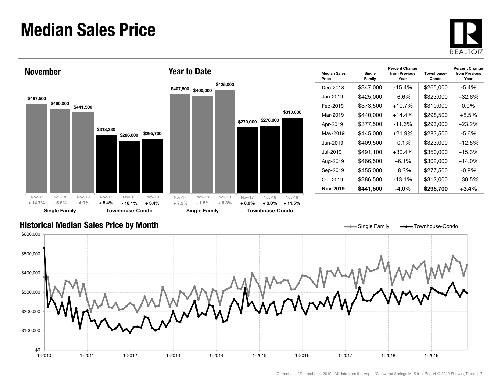### Median Sales Price





| <b>Median Sales</b><br>Price | Single<br>Family | <b>Percent Change</b><br>from Previous<br>Year | Townhouse-<br>Condo | <b>Percent Change</b><br>from Previous<br>Year |
|------------------------------|------------------|------------------------------------------------|---------------------|------------------------------------------------|
| Dec-2018                     | \$347,000        | $-15.4%$                                       | \$265,000           | $-5.4%$                                        |
| Jan-2019                     | \$425,000        | -6.6%                                          | \$323,000           | +32.6%                                         |
| Feb-2019                     | \$373,500        | $+10.7%$                                       | \$310,000           | $0.0\%$                                        |
| Mar-2019                     | \$440,000        | $+14.4%$                                       | \$298,500           | $+8.5\%$                                       |
| Apr-2019                     | \$377,500        | -11.6%                                         | \$293,000           | +23.2%                                         |
| May-2019                     | \$445,000        | $+21.9%$                                       | \$283.500           | -5.6%                                          |
| Jun-2019.                    | \$409,500        | $-0.1%$                                        | \$323,000           | $+12.5%$                                       |
| Jul-2019.                    | \$491.100        | $+30.4%$                                       | \$350,000           | $+15.3%$                                       |
| Aug-2019                     | \$466,500        | $+6.1\%$                                       | \$302,000           | +14.0%                                         |
| Sep-2019                     | \$455.000        | $+8.3\%$                                       | \$277,500           | $-0.9\%$                                       |
| Oct-2019                     | \$386,500        | $-13.1%$                                       | \$312,000           | +30.5%                                         |
| Nov-2019                     | \$441,500        | $-4.0%$                                        | \$295,700           | $+3.4%$                                        |

Single Family **-** Townhouse-Condo

#### Historical Median Sales Price by Month

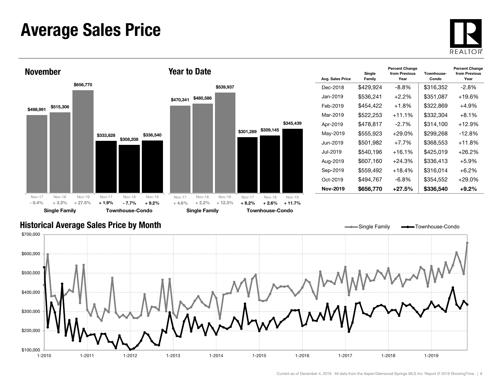### Average Sales Price





| Avg. Sales Price | Single<br>Family | <b>Percent Change</b><br>from Previous<br>Year | Townhouse-<br>Condo | <b>Percent Change</b><br>from Previous<br>Year |
|------------------|------------------|------------------------------------------------|---------------------|------------------------------------------------|
| Dec-2018         | \$429,924        | -8.8%                                          | \$316,352           | $-2.8\%$                                       |
| Jan-2019.        | \$536,241        | $+2.2%$                                        | \$351,087           | $+19.6%$                                       |
| Feb-2019         | \$454,422        | $+1.8\%$                                       | \$322,869           | $+4.9%$                                        |
| Mar-2019         | \$522,253        | $+11.1%$                                       | \$332,304           | $+8.1%$                                        |
| Apr-2019         | \$478,817        | $-2.7%$                                        | \$314,100           | $+12.9%$                                       |
| May-2019         | \$555,923        | $+29.0%$                                       | \$299,268           | $-12.8%$                                       |
| Jun-2019.        | \$501,982        | $+7.7%$                                        | \$368,553           | $+11.8%$                                       |
| Jul-2019.        | \$540,196        | $+16.1%$                                       | \$425,019           | $+26.2%$                                       |
| Aug-2019         | \$607,160        | +24.3%                                         | \$336,413           | $+5.9\%$                                       |
| Sep-2019         | \$559,492        | $+18.4%$                                       | \$316,014           | $+6.2\%$                                       |
| Oct-2019         | \$494,767        | -6.8%                                          | \$354,552           | $+29.0\%$                                      |
| Nov-2019         | \$656,770        | $+27.5%$                                       | \$336,540           | $+9.2\%$                                       |

#### Historical Average Sales Price by Month

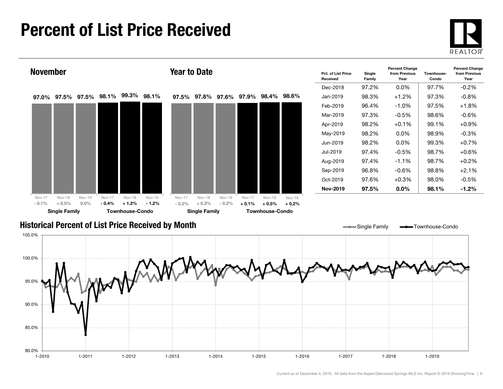### Percent of List Price Received





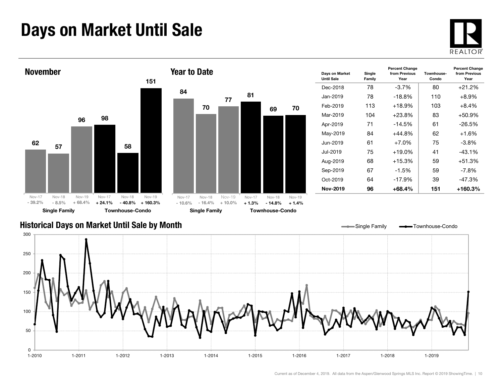### Days on Market Until Sale





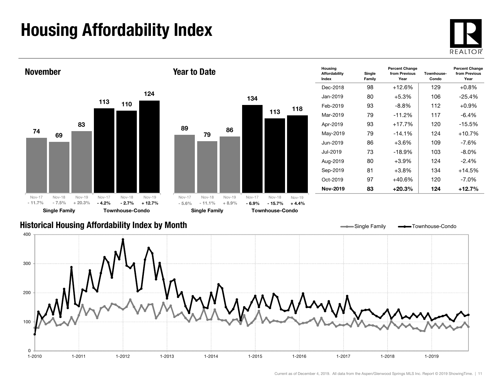## Housing Affordability Index



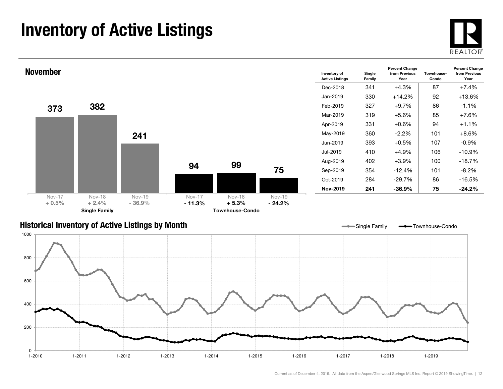### Inventory of Active Listings





#### Historical Inventory of Active Listings by Month

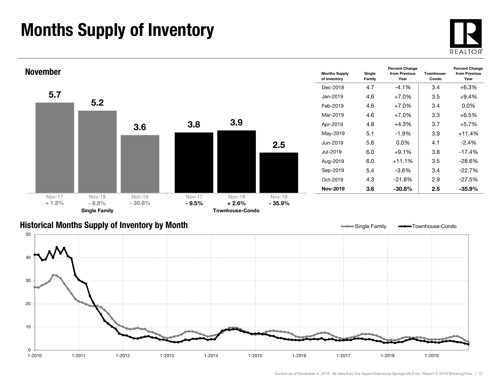### Months Supply of Inventory





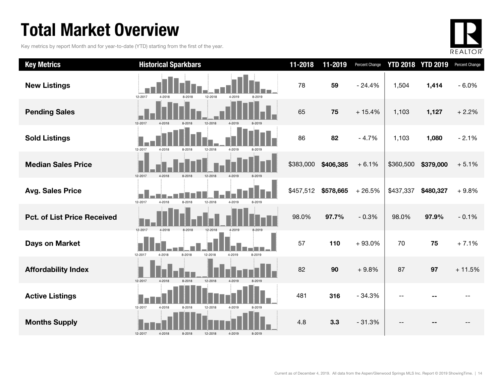### Total Market Overview

Key metrics by report Month and for year-to-date (YTD) starting from the first of the year.



| <b>Key Metrics</b>                 | <b>Historical Sparkbars</b>                                | 11-2018   | 11-2019   | <b>Percent Change</b> |           | <b>YTD 2018 YTD 2019</b> | Percent Change |
|------------------------------------|------------------------------------------------------------|-----------|-----------|-----------------------|-----------|--------------------------|----------------|
| <b>New Listings</b>                | 12-2017<br>12-2018<br>4-2018<br>8-2018<br>4-2019<br>8-2019 | 78        | 59        | $-24.4%$              | 1,504     | 1,414                    | $-6.0%$        |
| <b>Pending Sales</b>               | 12-2017<br>4-2018<br>8-2018<br>12-2018<br>4-2019           | 65        | 75        | $+15.4%$              | 1,103     | 1,127                    | $+2.2%$        |
| <b>Sold Listings</b>               | 12-2017<br>4-2018<br>12-2018<br>4-2019<br>8-2018<br>8-2019 | 86        | 82        | $-4.7%$               | 1,103     | 1,080                    | $-2.1%$        |
| <b>Median Sales Price</b>          | 12-2017<br>12-2018<br>4-2018<br>8-2018<br>4-2019           | \$383,000 | \$406,385 | $+6.1%$               | \$360,500 | \$379,000                | $+5.1%$        |
| <b>Avg. Sales Price</b>            | 12-2017<br>8-2018<br>12-2018<br>4-2018<br>4-2019<br>8-2019 | \$457,512 | \$578,665 | $+26.5%$              | \$437,337 | \$480,327                | $+9.8%$        |
| <b>Pct. of List Price Received</b> | 12-2017<br>4-2018<br>8-2018<br>12-2018                     | 98.0%     | 97.7%     | $-0.3%$               | 98.0%     | 97.9%                    | $-0.1%$        |
| <b>Days on Market</b>              | 8-2018<br>12-2018<br>4-2019<br>12-2017<br>4-2018<br>8-2019 | 57        | 110       | $+93.0%$              | 70        | 75                       | $+7.1%$        |
| <b>Affordability Index</b>         | 12-2017<br>12-2018<br>4-2018<br>8-2018<br>4-2019           | 82        | 90        | $+9.8%$               | 87        | 97                       | $+11.5%$       |
| <b>Active Listings</b>             | 12-2017<br>4-2018<br>4-2019<br>8-2018<br>12-2018<br>8-2019 | 481       | 316       | $-34.3%$              |           |                          |                |
| <b>Months Supply</b>               | 12-2017<br>4-2018<br>8-2018<br>12-2018<br>4-2019<br>8-2019 | 4.8       | 3.3       | $-31.3%$              |           |                          |                |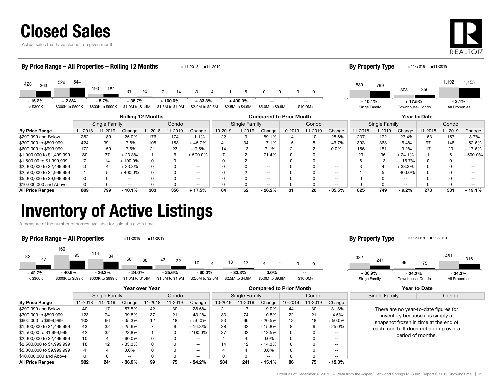|  |  |  | <b>Closed Sales</b> |  |
|--|--|--|---------------------|--|
|  |  |  |                     |  |

Actual sales that have closed in a given month.



#### By Price Range 11-2018 11-2019 Change 11-2018 11-2019 Change 10-2019 11-2019 Change 10-2019 11-2019 Change 11-2018 11-2019 Change 11-2018 11-2019 Change \$299,999 and Below 252 189 - 25.0% 176 174 - 1.1% 22 9 - 59.1% 14 10 - 28.6% 237 172 - 27.4% 163 157 - 3.7% Rolling 12 Months Compared to Prior Month Year to Date Single Family Condo || Single Family | Condo || Single Family | Condo 428 <sup>529</sup> 193 $31 \t 43$ 43 7 7 14 3 4 1 5 0 0 0 <sup>363</sup> 544 182 14 44 1 5 0 0 0 0  $<$  \$300K  $=$  \$300K to \$599K \$600K to \$999K \$1.0M to \$1.4M \$1.5M to \$1.9M \$2.0M to \$2.5M \$2.5M to \$4.9M \$5.0M to \$9.9M \$10.0M+ By Price Range – All Properties – Rolling 12 Months 11-2018 11-2019 889 3031,192 <sup>799</sup>3561,155 Singe Family Townhouse-Condo All Properties **By Property Type** 11-2018 11-2019 - 15.2% + 2.8% - 5.7% + 38.7% + 100.0% + 33.3% + 400.0% -- - 10.1% $-10.1\%$   $+17.5\%$ - 3.1%

| <b>All Price Ranges</b>    | 889 | 799 | 10.1%    | 303 | 356  | $+17.5%$ | 84 | 62 | $-26.2%$        | 31 | 20 | - 35.5%  | 825   | 749  | $-9.2%$   | 278 | 331   | $-19.1%$                 |
|----------------------------|-----|-----|----------|-----|------|----------|----|----|-----------------|----|----|----------|-------|------|-----------|-----|-------|--------------------------|
| \$10,000,000 and Above     |     |     | $- -$    |     |      | $- -$    |    |    | $- -$           |    |    | $- -$    |       |      | $- -$     |     |       | $\overline{\phantom{a}}$ |
| \$5,000,000 to \$9,999,999 |     |     | $- -$    |     |      | $- -$    |    |    | $- -$           |    |    | $- -$    |       |      | --        |     |       | $- -$                    |
| \$2,500,000 to \$4,999,999 |     |     | 400.0%   |     |      | $- -$    |    |    | $- -$           |    |    | $- -$    |       |      | 400.0%    |     |       | $\overline{\phantom{a}}$ |
| \$2,000,000 to \$2,499,999 |     |     | 33.3%    |     |      | $- -$    |    |    | $- -$           |    |    | $- -$    |       |      | $-33.3%$  |     |       | $\overline{\phantom{a}}$ |
| \$1,500,00 to \$1,999,999  |     |     | 100.0%   |     |      | $- -$    |    |    | $- -$           |    |    |          |       |      | 116.7%    |     |       | $- -$                    |
| \$1,000,000 to \$1,499,999 | 30  | 37  | 23.3%    |     |      | ⊦ 500.0% |    |    | 71.4%           |    |    | $- -$    |       | 36   | 24.1%     |     |       | $+500.0%$                |
| \$600,000 to \$999,999     | 172 | 159 | 7.6%     |     | 23   | - 9.5%   |    |    | $-7.1%$         |    |    | 0.0%     | 156   | 151  | $-3.2%$   |     |       | ⊦ 17.6%                  |
| \$300,000 to \$599,999     | 424 | 391 | 7.8%     |     | 153  | 45.7%    | 4  | 34 | $-17.1%$        | 15 |    | $-46.7%$ | 393   | 368  | $-6.4%$   | 97  |       | $-52.6%$                 |
| DRIAD SIL DRIGHT           | ےت∠ | ໐ສ  | . 20.U70 | 70  | - 14 | 1.17c    | ے  |    | <b>ບອ.</b> ເ 70 | 14 | ιU | - 20.070 | ، ت ے | 17 Z | $-21.470$ | 100 | I O 1 | - 9.170                  |

### Inventory of Active Listings

A measure of the number of homes available for sale at a given time.

#### 82160 114500 38 43  $-$  10  $-$  4 4 18 12 4 0 $\frac{47}{2}$  **18 12 1 18 12 4 4 16 12 4 4** 95 8443 32 4 18 12 4 4 0 0 < \$300K \$300K to \$599K \$600K to \$999K \$1.0M to \$1.4M \$1.5M to \$1.9M \$2.0M to \$2.5M \$2.5M to \$4.9M \$5.0M to \$9.9M \$10.0M+ By Price Range – All Properties 11-2018 11-2019 382 99 75481241 $\overline{5}$   $\overline{5}$   $\overline{10}$   $\overline{316}$ Singe Family Townhouse-Condo All Properties **By Property Type** 11-2018 11-2019 - 42.7% - 40.6% - 26.3% - 24.0% - 25.6% - 60.0% - 33.3% 0.0% --- 36.9% - 24.2% - 34.3%

|                            | Year over Year |         |           |         |         |                   | <b>Compared to Prior Month</b> |         |           |         |         |          | <b>Year to Date</b>                                                                                                                                                              |       |
|----------------------------|----------------|---------|-----------|---------|---------|-------------------|--------------------------------|---------|-----------|---------|---------|----------|----------------------------------------------------------------------------------------------------------------------------------------------------------------------------------|-------|
|                            | Single Family  |         |           | Condo   |         |                   | Single Family                  |         |           | Condo   |         |          | Single Family                                                                                                                                                                    | Condo |
| <b>By Price Range</b>      | 11-2018        | 11-2019 | Change    | 11-2018 | 11-2019 | Change            | 10-2019                        | 11-2019 | Change    | 10-2019 | 11-2019 | Change   |                                                                                                                                                                                  |       |
| \$299.999 and Below        | 40             | 17      | $-57.5%$  | 42      | 30      | $-28.6%$          | 21                             | 17      | $-19.0\%$ | 44      | 30      | $-31.8%$ | There are no year-to-date figures for<br>inventory because it is simply a<br>snapshot frozen in time at the end of<br>each month. It does not add up over a<br>period of months. |       |
| \$300,000 to \$599,999     | 123            | 74      | $-39.8%$  | 37      | 21      | $-43.2%$          | 83                             | 74      | $-10.8%$  | 22      | 21      | - 4.5%   |                                                                                                                                                                                  |       |
| \$600,000 to \$999.999     | 102            | 66      | $-35.3%$  | 12      | 18      | $+50.0%$          | 83                             | 66      | $-20.5%$  | 12      | 18      | $+50.0%$ |                                                                                                                                                                                  |       |
| \$1,000,000 to \$1,499,999 | 43             | 32      | $-25.6%$  |         |         | $-14.3%$          | 38                             | 32      | $-15.8%$  | 8       |         | $-25.0%$ |                                                                                                                                                                                  |       |
| \$1,500,00 to \$1,999,999  | 42             | 32      | $-23.8%$  |         |         | $-100.0\%$        | 37                             | 32      | $-13.5%$  | 0       |         | $- -$    |                                                                                                                                                                                  |       |
| \$2,000,000 to \$2,499,999 | 10             | Δ       | $-60.0\%$ |         |         | $- -$             |                                | 4       | $0.0\%$   | 0       |         | $- -$    |                                                                                                                                                                                  |       |
| \$2,500,000 to \$4,999,999 | 18             | 12      | $-33.3%$  |         |         | $\qquad \qquad -$ | 14                             | 12      | $-14.3%$  | 0       |         | $- -$    |                                                                                                                                                                                  |       |
| \$5,000,000 to \$9,999,999 | 4              |         | $0.0\%$   |         |         | $- -$             |                                | 4       | $0.0\%$   | 0       |         | $- -$    |                                                                                                                                                                                  |       |
| \$10,000,000 and Above     |                |         | $- -$     |         |         | $- -$             |                                | 0       | $- -$     | 0       |         | $- -$    |                                                                                                                                                                                  |       |
| <b>All Price Ranges</b>    | 382            | 241     | $-36.9%$  | 99      | 75      | $-24.2%$          | 284                            | 241     | $-15.1%$  | 86      | 75      | $-12.8%$ |                                                                                                                                                                                  |       |